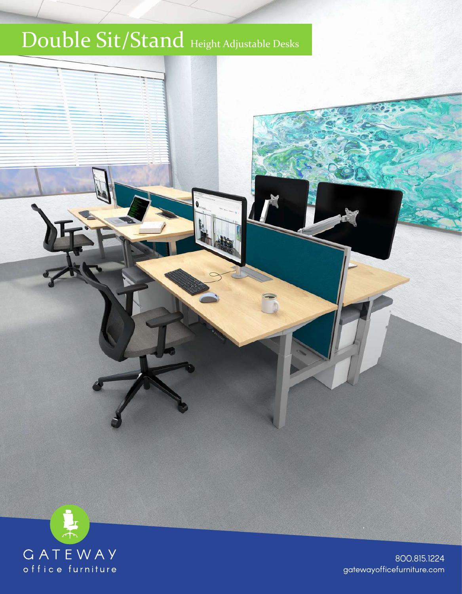## Double Sit/Stand Height Adjustable Desks



800.815.1224 gatewayofficefurniture.com